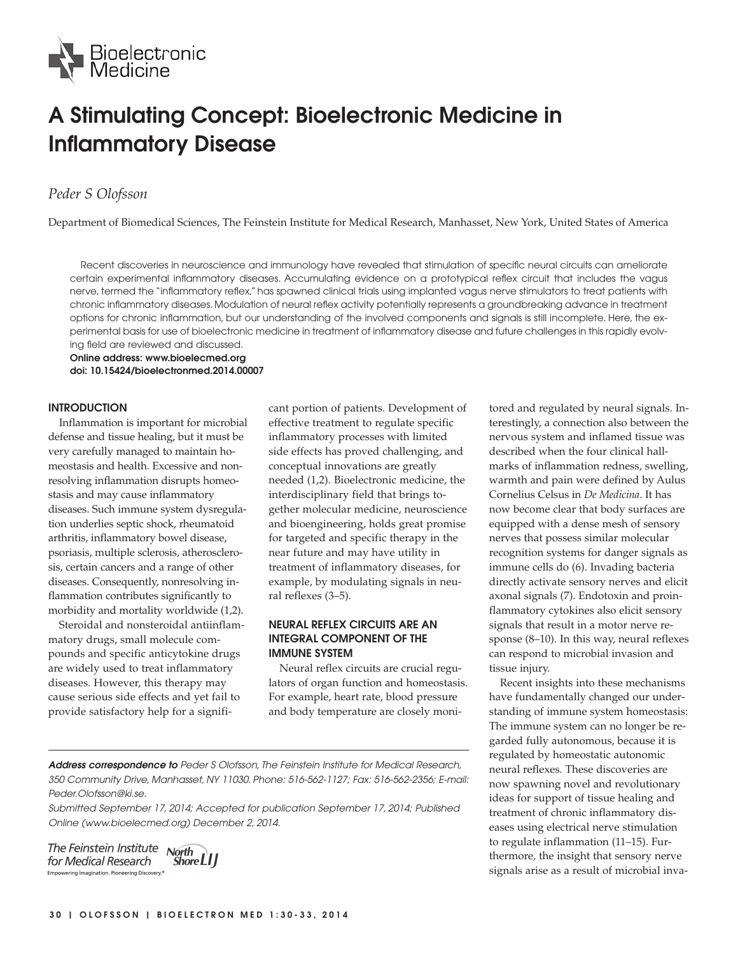

# **A Stimulating Concept: Bioelectronic Medicine in Inflammatory Disease**

## *Peder S Olofsson*

Department of Biomedical Sciences, The Feinstein Institute for Medical Research, Manhasset, New York, United States of America

Recent discoveries in neuroscience and immunology have revealed that stimulation of specific neural circuits can ameliorate certain experimental inflammatory diseases. Accumulating evidence on a prototypical reflex circuit that includes the vagus nerve, termed the "inflammatory reflex," has spawned clinical trials using implanted vagus nerve stimulators to treat patients with chronic inflammatory diseases. Modulation of neural reflex activity potentially represents a groundbreaking advance in treatment options for chronic inflammation, but our understanding of the involved components and signals is still incomplete. Here, the experimental basis for use of bioelectronic medicine in treatment of inflammatory disease and future challenges in this rapidly evolving field are reviewed and discussed.

**Online address: www.bioelecmed.org doi: 10.15424/bioelectronmed.2014.00007**

#### **INTRODUCTION**

Inflammation is important for microbial defense and tissue healing, but it must be very carefully managed to maintain homeostasis and health. Excessive and nonresolving inflammation disrupts homeostasis and may cause inflammatory diseases. Such immune system dysregulation underlies septic shock, rheumatoid arthritis, inflammatory bowel disease, psoriasis, multiple sclerosis, atherosclerosis, certain cancers and a range of other diseases. Consequently, nonresolving inflammation contributes significantly to morbidity and mortality worldwide (1,2).

Steroidal and nonsteroidal antiinflammatory drugs, small molecule compounds and specific anticytokine drugs are widely used to treat inflammatory diseases. However, this therapy may cause serious side effects and yet fail to provide satisfactory help for a significant portion of patients. Development of effective treatment to regulate specific inflammatory processes with limited side effects has proved challenging, and conceptual innovations are greatly needed (1,2). Bioelectronic medicine, the interdisciplinary field that brings together molecular medicine, neuroscience and bioengineering, holds great promise for targeted and specific therapy in the near future and may have utility in treatment of inflammatory diseases, for example, by modulating signals in neural reflexes (3–5).

### **NEURAL REFLEX CIRCUITS ARE AN INTEGRAL COMPONENT OF THE IMMUNE SYSTEM**

Neural reflex circuits are crucial regulators of organ function and homeostasis. For example, heart rate, blood pressure and body temperature are closely moni-

**Address correspondence to** Peder S Olofsson, The Feinstein Institute for Medical Research, 350 Community Drive, Manhasset, NY 11030. Phone: 516-562-1127; Fax: 516-562-2356; E-mail: Peder.Olofsson@ki.se.

Submitted September 17, 2014; Accepted for publication September 17, 2014; Published Online (www.bioelecmed.org) December 2, 2014.

The Feinstein Institute North for Medical Research Empowering Imagination. Pioneering Discovery.<sup>4</sup>

Shore LI J

tored and regulated by neural signals. Interestingly, a connection also between the nervous system and inflamed tissue was described when the four clinical hallmarks of inflammation redness, swelling, warmth and pain were defined by Aulus Cornelius Celsus in *De Medicina*. It has now become clear that body surfaces are equipped with a dense mesh of sensory nerves that possess similar molecular recognition systems for danger signals as immune cells do (6). Invading bacteria directly activate sensory nerves and elicit axonal signals (7). Endotoxin and proinflammatory cytokines also elicit sensory signals that result in a motor nerve response (8–10). In this way, neural reflexes can respond to microbial invasion and tissue injury.

Recent insights into these mechanisms have fundamentally changed our understanding of immune system homeostasis: The immune system can no longer be regarded fully autonomous, because it is regulated by homeostatic autonomic neural reflexes. These discoveries are now spawning novel and revolutionary ideas for support of tissue healing and treatment of chronic inflammatory diseases using electrical nerve stimulation to regulate inflammation (11–15). Furthermore, the insight that sensory nerve signals arise as a result of microbial inva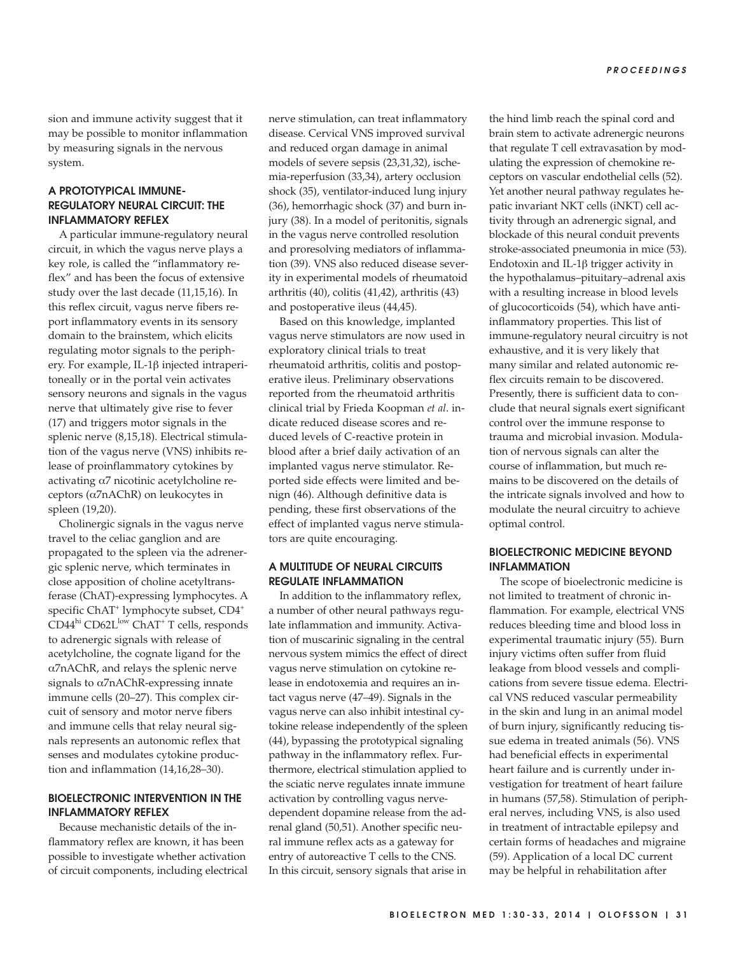sion and immune activity suggest that it may be possible to monitor inflammation by measuring signals in the nervous system.

## **A PROTOTYPICAL IMMUNE-REGULATORY NEURAL CIRCUIT: THE INFLAMMATORY REFLEX**

A particular immune-regulatory neural circuit, in which the vagus nerve plays a key role, is called the "inflammatory reflex" and has been the focus of extensive study over the last decade (11,15,16). In this reflex circuit, vagus nerve fibers report inflammatory events in its sensory domain to the brainstem, which elicits regulating motor signals to the periphery. For example, IL-1β injected intraperitoneally or in the portal vein activates sensory neurons and signals in the vagus nerve that ultimately give rise to fever (17) and triggers motor signals in the splenic nerve (8,15,18). Electrical stimulation of the vagus nerve (VNS) inhibits release of proinflammatory cytokines by activating α7 nicotinic acetylcholine receptors (α7nAChR) on leukocytes in spleen (19,20).

Cholinergic signals in the vagus nerve travel to the celiac ganglion and are propagated to the spleen via the adrenergic splenic nerve, which terminates in close apposition of choline acetyltransferase (ChAT)-expressing lymphocytes. A specific ChAT<sup>+</sup> lymphocyte subset, CD4<sup>+</sup> CD44<sup>hi</sup> CD62L<sup>low</sup> ChAT<sup>+</sup> T cells, responds to adrenergic signals with release of acetylcholine, the cognate ligand for the α7nAChR, and relays the splenic nerve signals to  $\alpha$ 7nAChR- expressing innate immune cells (20–27). This complex circuit of sensory and motor nerve fibers and immune cells that relay neural signals represents an autonomic reflex that senses and modulates cytokine production and inflammation (14,16,28–30).

#### **BIOELECTRONIC INTERVENTION IN THE INFLAMMATORY REFLEX**

Because mechanistic details of the inflammatory reflex are known, it has been possible to investigate whether activation of circuit components, including electrical nerve stimulation, can treat inflammatory disease. Cervical VNS improved survival and reduced organ damage in animal models of severe sepsis (23,31,32), ischemia-reperfusion (33,34), artery occlusion shock (35), ventilator-induced lung injury (36), hemorrhagic shock (37) and burn injury (38). In a model of peritonitis, signals in the vagus nerve controlled resolution and proresolving mediators of inflammation (39). VNS also reduced disease severity in experimental models of rheumatoid arthritis (40), colitis (41,42), arthritis (43) and postoperative ileus (44,45).

Based on this knowledge, implanted vagus nerve stimulators are now used in exploratory clinical trials to treat rheumatoid arthritis, colitis and postoperative ileus. Preliminary observations reported from the rheumatoid arthritis clinical trial by Frieda Koopman *et al*. indicate reduced disease scores and reduced levels of C-reactive protein in blood after a brief daily activation of an implanted vagus nerve stimulator. Reported side effects were limited and benign (46). Although definitive data is pending, these first observations of the effect of implanted vagus nerve stimulators are quite encouraging.

## **A MULTITUDE OF NEURAL CIRCUITS REGULATE INFLAMMATION**

In addition to the inflammatory reflex, a number of other neural pathways regulate inflammation and immunity. Activation of muscarinic signaling in the central nervous system mimics the effect of direct vagus nerve stimulation on cytokine release in endotoxemia and requires an intact vagus nerve (47–49). Signals in the vagus nerve can also inhibit intestinal cytokine release independently of the spleen (44), bypassing the prototypical signaling pathway in the inflammatory reflex. Furthermore, electrical stimulation applied to the sciatic nerve regulates innate immune activation by controlling vagus nerve dependent dopamine release from the adrenal gland (50,51). Another specific neural immune reflex acts as a gateway for entry of autoreactive T cells to the CNS. In this circuit, sensory signals that arise in

the hind limb reach the spinal cord and brain stem to activate adrenergic neurons that regulate T cell extravasation by modulating the expression of chemokine receptors on vascular endothelial cells (52). Yet another neural pathway regulates hepatic invariant NKT cells (iNKT) cell activity through an adrenergic signal, and blockade of this neural conduit prevents stroke-associated pneumonia in mice (53). Endotoxin and IL-1β trigger activity in the hypothalamus-pituitary-adrenal axis with a resulting increase in blood levels of glucocorticoids (54), which have antiinflammatory properties. This list of immune-regulatory neural circuitry is not exhaustive, and it is very likely that many similar and related autonomic reflex circuits remain to be discovered. Presently, there is sufficient data to conclude that neural signals exert significant control over the immune response to trauma and microbial invasion. Modulation of nervous signals can alter the course of inflammation, but much remains to be discovered on the details of the intricate signals involved and how to modulate the neural circuitry to achieve optimal control.

## **BIOELECTRONIC MEDICINE BEYOND INFLAMMATION**

The scope of bioelectronic medicine is not limited to treatment of chronic inflammation. For example, electrical VNS reduces bleeding time and blood loss in experimental traumatic injury (55). Burn injury victims often suffer from fluid leakage from blood vessels and complications from severe tissue edema. Electrical VNS reduced vascular permeability in the skin and lung in an animal model of burn injury, significantly reducing tissue edema in treated animals (56). VNS had beneficial effects in experimental heart failure and is currently under investigation for treatment of heart failure in humans (57,58). Stimulation of peripheral nerves, including VNS, is also used in treatment of intractable epilepsy and certain forms of headaches and migraine (59). Application of a local DC current may be helpful in rehabilitation after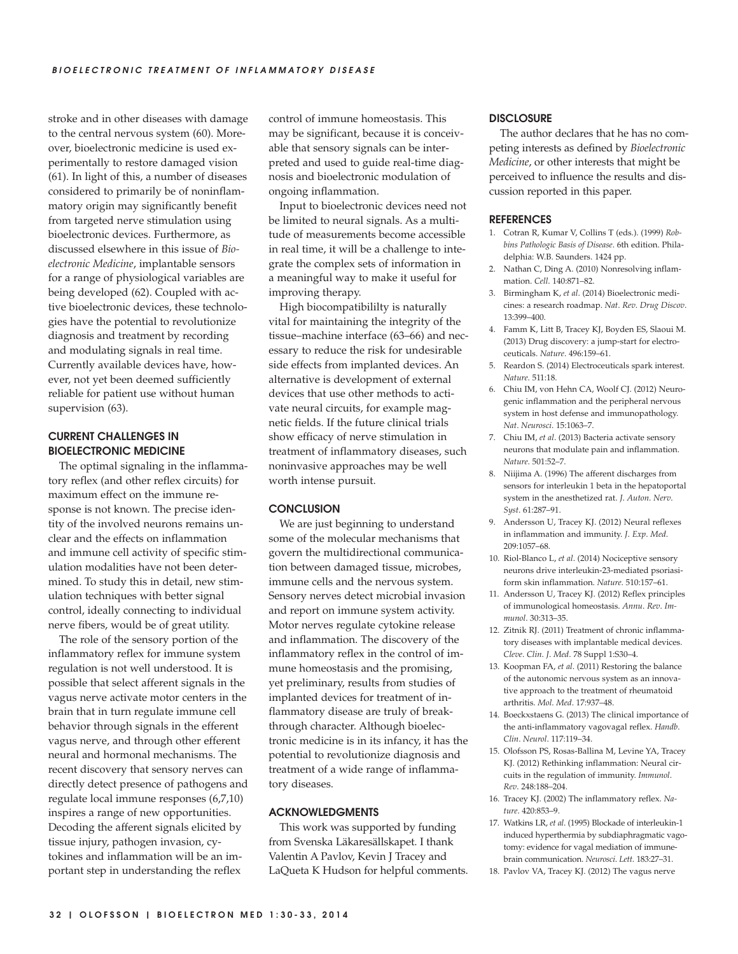stroke and in other diseases with damage to the central nervous system (60). Moreover, bioelectronic medicine is used experimentally to restore damaged vision (61). In light of this, a number of diseases considered to primarily be of noninflammatory origin may significantly benefit from targeted nerve stimulation using bioelectronic devices. Furthermore, as discussed elsewhere in this issue of *Bioelectronic Medicine*, implantable sensors for a range of physiological variables are being developed (62). Coupled with active bioelectronic devices, these technologies have the potential to revolutionize diagnosis and treatment by recording and modulating signals in real time. Currently available devices have, however, not yet been deemed sufficiently reliable for patient use without human supervision (63).

## **CURRENT CHALLENGES IN BIOELECTRONIC MEDICINE**

The optimal signaling in the inflammatory reflex (and other reflex circuits) for maximum effect on the immune response is not known. The precise identity of the involved neurons remains unclear and the effects on inflammation and immune cell activity of specific stimulation modalities have not been determined. To study this in detail, new stimulation techniques with better signal control, ideally connecting to individual nerve fibers, would be of great utility.

The role of the sensory portion of the inflammatory reflex for immune system regulation is not well understood. It is possible that select afferent signals in the vagus nerve activate motor centers in the brain that in turn regulate immune cell behavior through signals in the efferent vagus nerve, and through other efferent neural and hormonal mechanisms. The recent discovery that sensory nerves can directly detect presence of pathogens and regulate local immune responses (6,7,10) inspires a range of new opportunities. Decoding the afferent signals elicited by tissue injury, pathogen invasion, cytokines and inflammation will be an important step in understanding the reflex

control of immune homeostasis. This may be significant, because it is conceivable that sensory signals can be interpreted and used to guide real-time diagnosis and bioelectronic modulation of ongoing inflammation.

Input to bioelectronic devices need not be limited to neural signals. As a multitude of measurements become accessible in real time, it will be a challenge to integrate the complex sets of information in a meaningful way to make it useful for improving therapy.

High biocompatibililty is naturally vital for maintaining the integrity of the tissue–machine interface (63–66) and necessary to reduce the risk for undesirable side effects from implanted devices. An alternative is development of external devices that use other methods to activate neural circuits, for example magnetic fields. If the future clinical trials show efficacy of nerve stimulation in treatment of inflammatory diseases, such noninvasive approaches may be well worth intense pursuit.

#### **CONCLUSION**

We are just beginning to understand some of the molecular mechanisms that govern the multidirectional communication between damaged tissue, microbes, immune cells and the nervous system. Sensory nerves detect microbial invasion and report on immune system activity. Motor nerves regulate cytokine release and inflammation. The discovery of the inflammatory reflex in the control of immune homeostasis and the promising, yet preliminary, results from studies of implanted devices for treatment of inflammatory disease are truly of breakthrough character. Although bioelectronic medicine is in its infancy, it has the potential to revolutionize diagnosis and treatment of a wide range of inflammatory diseases.

#### **ACKNOWLEDGMENTS**

This work was supported by funding from Svenska Läkaresällskapet. I thank Valentin A Pavlov, Kevin J Tracey and LaQueta K Hudson for helpful comments.

#### **DISCLOSURE**

The author declares that he has no competing interests as defined by *Bioelectronic Medicine*, or other interests that might be perceived to influence the results and discussion reported in this paper.

#### **REFERENCES**

- 1. Cotran R, Kumar V, Collins T (eds.). (1999) *Robbins Pathologic Basis of Disease*. 6th edition. Philadelphia: W.B. Saunders. 1424 pp.
- 2. Nathan C, Ding A. (2010) Nonresolving inflammation. *Cell*. 140:871–82.
- 3. Birmingham K, *et al*. (2014) Bioelectronic medicines: a research roadmap. *Nat*. *Rev*. *Drug Discov*. 13:399–400.
- 4. Famm K, Litt B, Tracey KJ, Boyden ES, Slaoui M. (2013) Drug discovery: a jump-start for electroceuticals. *Nature*. 496:159–61.
- 5. Reardon S. (2014) Electroceuticals spark interest. *Nature*. 511:18.
- 6. Chiu IM, von Hehn CA, Woolf CJ. (2012) Neurogenic inflammation and the peripheral nervous system in host defense and immunopathology. *Nat*. *Neurosci*. 15:1063–7.
- 7. Chiu IM, *et al*. (2013) Bacteria activate sensory neurons that modulate pain and inflammation. *Nature*. 501:52–7.
- 8. Niijima A. (1996) The afferent discharges from sensors for interleukin 1 beta in the hepatoportal system in the anesthetized rat. *J*. *Auton*. *Nerv*. *Syst*. 61:287–91.
- 9. Andersson U, Tracey KJ. (2012) Neural reflexes in inflammation and immunity. *J*. *Exp*. *Med*. 209:1057–68.
- 10. Riol-Blanco L, *et al*. (2014) Nociceptive sensory neurons drive interleukin-23-mediated psoriasiform skin inflammation. *Nature*. 510:157–61.
- 11. Andersson U, Tracey KJ. (2012) Reflex principles of immunological homeostasis. *Annu*. *Rev*. *Immunol*. 30:313–35.
- 12. Zitnik RJ. (2011) Treatment of chronic inflammatory diseases with implantable medical devices. *Cleve*. *Clin*. *J*. *Med*. 78 Suppl 1:S30–4.
- 13. Koopman FA, *et al*. (2011) Restoring the balance of the autonomic nervous system as an innovative approach to the treatment of rheumatoid arthritis. *Mol*. *Med*. 17:937–48.
- 14. Boeckxstaens G. (2013) The clinical importance of the anti-inflammatory vagovagal reflex. *Handb*. *Clin*. *Neurol*. 117:119–34.
- 15. Olofsson PS, Rosas-Ballina M, Levine YA, Tracey KJ. (2012) Rethinking inflammation: Neural circuits in the regulation of immunity. *Immunol*. *Rev*. 248:188–204.
- 16. Tracey KJ. (2002) The inflammatory reflex. *Nature*. 420:853–9.
- 17. Watkins LR, *et al*. (1995) Blockade of interleukin-1 induced hyperthermia by subdiaphragmatic vagotomy: evidence for vagal mediation of immunebrain communication. *Neurosci*. *Lett*. 183:27–31.
- 18. Pavlov VA, Tracey KJ. (2012) The vagus nerve